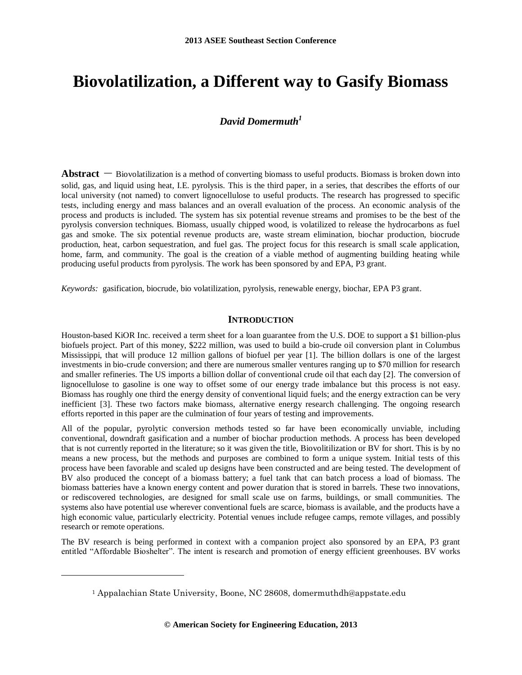# **Biovolatilization, a Different way to Gasify Biomass**

# *David Domermuth<sup>1</sup>*

**Abstract** – Biovolatilization is a method of converting biomass to useful products. Biomass is broken down into solid, gas, and liquid using heat, I.E. pyrolysis. This is the third paper, in a series, that describes the efforts of our local university (not named) to convert lignocellulose to useful products. The research has progressed to specific tests, including energy and mass balances and an overall evaluation of the process. An economic analysis of the process and products is included. The system has six potential revenue streams and promises to be the best of the pyrolysis conversion techniques. Biomass, usually chipped wood, is volatilized to release the hydrocarbons as fuel gas and smoke. The six potential revenue products are, waste stream elimination, biochar production, biocrude production, heat, carbon sequestration, and fuel gas. The project focus for this research is small scale application, home, farm, and community. The goal is the creation of a viable method of augmenting building heating while producing useful products from pyrolysis. The work has been sponsored by and EPA, P3 grant.

*Keywords:* gasification, biocrude, bio volatilization, pyrolysis, renewable energy, biochar, EPA P3 grant.

# **INTRODUCTION**

Houston-based KiOR Inc. received a term sheet for a loan guarantee from the U.S. DOE to support a \$1 billion-plus biofuels project. Part of this money, \$222 million, was used to build a bio-crude oil conversion plant in Columbus Mississippi, that will produce 12 million gallons of biofuel per year [1]. The billion dollars is one of the largest investments in bio-crude conversion; and there are numerous smaller ventures ranging up to \$70 million for research and smaller refineries. The US imports a billion dollar of conventional crude oil that each day [2]. The conversion of lignocellulose to gasoline is one way to offset some of our energy trade imbalance but this process is not easy. Biomass has roughly one third the energy density of conventional liquid fuels; and the energy extraction can be very inefficient [3]. These two factors make biomass, alternative energy research challenging. The ongoing research efforts reported in this paper are the culmination of four years of testing and improvements.

All of the popular, pyrolytic conversion methods tested so far have been economically unviable, including conventional, downdraft gasification and a number of biochar production methods. A process has been developed that is not currently reported in the literature; so it was given the title, Biovolitilization or BV for short. This is by no means a new process, but the methods and purposes are combined to form a unique system. Initial tests of this process have been favorable and scaled up designs have been constructed and are being tested. The development of BV also produced the concept of a biomass battery; a fuel tank that can batch process a load of biomass. The biomass batteries have a known energy content and power duration that is stored in barrels. These two innovations, or rediscovered technologies, are designed for small scale use on farms, buildings, or small communities. The systems also have potential use wherever conventional fuels are scarce, biomass is available, and the products have a high economic value, particularly electricity. Potential venues include refugee camps, remote villages, and possibly research or remote operations.

The BV research is being performed in context with a companion project also sponsored by an EPA, P3 grant entitled "Affordable Bioshelter". The intent is research and promotion of energy efficient greenhouses. BV works

l

<sup>1</sup> Appalachian State University, Boone, NC 28608, domermuthdh@appstate.edu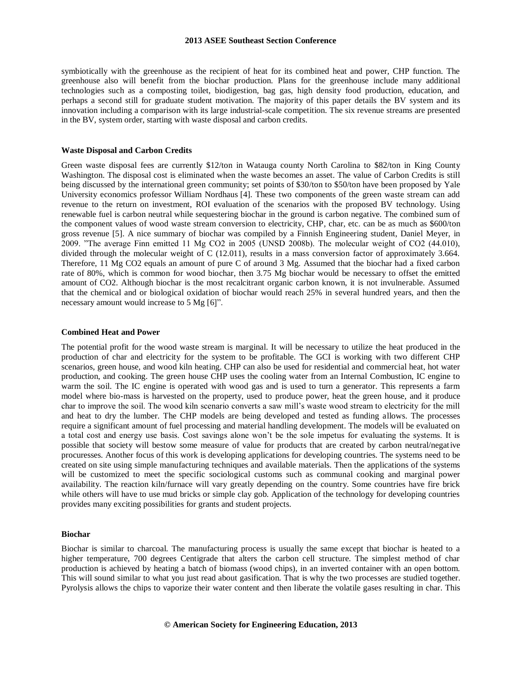symbiotically with the greenhouse as the recipient of heat for its combined heat and power, CHP function. The greenhouse also will benefit from the biochar production. Plans for the greenhouse include many additional technologies such as a composting toilet, biodigestion, bag gas, high density food production, education, and perhaps a second still for graduate student motivation. The majority of this paper details the BV system and its innovation including a comparison with its large industrial-scale competition. The six revenue streams are presented in the BV, system order, starting with waste disposal and carbon credits.

## **Waste Disposal and Carbon Credits**

Green waste disposal fees are currently \$12/ton in Watauga county North Carolina to \$82/ton in King County Washington. The disposal cost is eliminated when the waste becomes an asset. The value of Carbon Credits is still being discussed by the international green community; set points of \$30/ton to \$50/ton have been proposed by Yale University economics professor [William Nordhaus](http://en.wikipedia.org/wiki/William_Nordhaus) [4]. These two components of the green waste stream can add revenue to the return on investment, ROI evaluation of the scenarios with the proposed BV technology. Using renewable fuel is carbon neutral while sequestering biochar in the ground is carbon negative. The combined sum of the component values of wood waste stream conversion to electricity, CHP, char, etc. can be as much as \$600/ton gross revenue [5]. A nice summary of biochar was compiled by a Finnish Engineering student, Daniel Meyer, in 2009. "The average Finn emitted 11 Mg CO2 in 2005 (UNSD 2008b). The molecular weight of CO2 (44.010), divided through the molecular weight of C (12.011), results in a mass conversion factor of approximately 3.664. Therefore, 11 Mg CO2 equals an amount of pure C of around 3 Mg. Assumed that the biochar had a fixed carbon rate of 80%, which is common for wood biochar, then 3.75 Mg biochar would be necessary to offset the emitted amount of CO2. Although biochar is the most recalcitrant organic carbon known, it is not invulnerable. Assumed that the chemical and or biological oxidation of biochar would reach 25% in several hundred years, and then the necessary amount would increase to 5 Mg [6]".

#### **Combined Heat and Power**

The potential profit for the wood waste stream is marginal. It will be necessary to utilize the heat produced in the production of char and electricity for the system to be profitable. The GCI is working with two different CHP scenarios, green house, and wood kiln heating. CHP can also be used for residential and commercial heat, hot water production, and cooking. The green house CHP uses the cooling water from an Internal Combustion, IC engine to warm the soil. The IC engine is operated with wood gas and is used to turn a generator. This represents a farm model where bio-mass is harvested on the property, used to produce power, heat the green house, and it produce char to improve the soil. The wood kiln scenario converts a saw mill's waste wood stream to electricity for the mill and heat to dry the lumber. The CHP models are being developed and tested as funding allows. The processes require a significant amount of fuel processing and material handling development. The models will be evaluated on a total cost and energy use basis. Cost savings alone won't be the sole impetus for evaluating the systems. It is possible that society will bestow some measure of value for products that are created by carbon neutral/negative procuresses. Another focus of this work is developing applications for developing countries. The systems need to be created on site using simple manufacturing techniques and available materials. Then the applications of the systems will be customized to meet the specific sociological customs such as communal cooking and marginal power availability. The reaction kiln/furnace will vary greatly depending on the country. Some countries have fire brick while others will have to use mud bricks or simple clay gob. Application of the technology for developing countries provides many exciting possibilities for grants and student projects.

# **Biochar**

Biochar is similar to charcoal. The manufacturing process is usually the same except that biochar is heated to a higher temperature, 700 degrees Centigrade that alters the carbon cell structure. The simplest method of char production is achieved by heating a batch of biomass (wood chips), in an inverted container with an open bottom. This will sound similar to what you just read about gasification. That is why the two processes are studied together. Pyrolysis allows the chips to vaporize their water content and then liberate the volatile gases resulting in char. This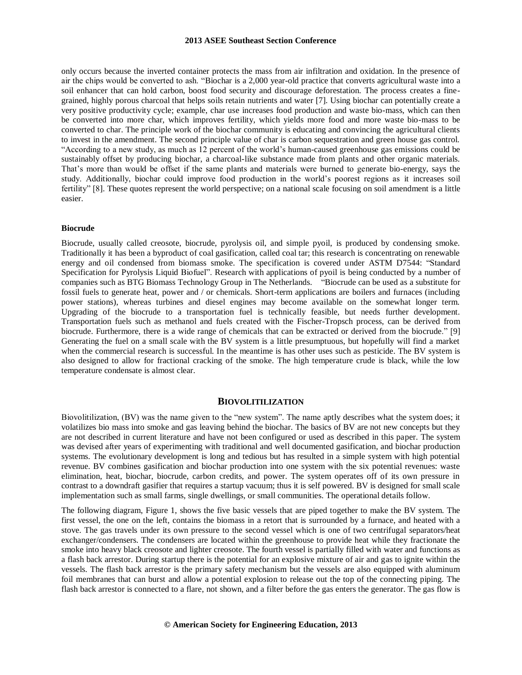only occurs because the inverted container protects the mass from air infiltration and oxidation. In the presence of air the chips would be converted to ash. "Biochar is a 2,000 year-old practice that converts agricultural waste into a soil enhancer that can hold carbon, boost food security and discourage deforestation. The process creates a finegrained, highly porous charcoal that helps soils retain nutrients and water [7]. Using biochar can potentially create a very positive productivity cycle; example, char use increases food production and waste bio-mass, which can then be converted into more char, which improves fertility, which yields more food and more waste bio-mass to be converted to char. The principle work of the biochar community is educating and convincing the agricultural clients to invest in the amendment. The second principle value of char is carbon sequestration and green house gas control. "According to a new study, as much as 12 percent of the world's human-caused greenhouse gas emissions could be sustainably offset by producing biochar, a charcoal-like substance made from plants and other organic materials. That's more than would be offset if the same plants and materials were burned to generate bio-energy, says the study. Additionally, biochar could improve food production in the world's poorest regions as it increases soil fertility" [8]. These quotes represent the world perspective; on a national scale focusing on soil amendment is a little easier.

## **Biocrude**

Biocrude, usually called creosote, biocrude, pyrolysis oil, and simple pyoil, is produced by condensing smoke. Traditionally it has been a byproduct of coal gasification, called coal tar; this research is concentrating on renewable energy and oil condensed from biomass smoke. The specification is covered under ASTM D7544: "Standard Specification for Pyrolysis Liquid Biofuel". Research with applications of pyoil is being conducted by a number of companies such as BTG Biomass Technology Group in The Netherlands. "Biocrude can be used as a substitute for fossil fuels to generate heat, power and / or chemicals. Short-term applications are boilers and furnaces (including power stations), whereas turbines and diesel engines may become available on the somewhat longer term. Upgrading of the biocrude to a transportation fuel is technically feasible, but needs further development. Transportation fuels such as methanol and fuels created with the Fischer-Tropsch process, can be derived from biocrude. Furthermore, there is a wide range of chemicals that can be extracted or derived from the biocrude." [9] Generating the fuel on a small scale with the BV system is a little presumptuous, but hopefully will find a market when the commercial research is successful. In the meantime is has other uses such as pesticide. The BV system is also designed to allow for fractional cracking of the smoke. The high temperature crude is black, while the low temperature condensate is almost clear.

## **BIOVOLITILIZATION**

Biovolitilization, (BV) was the name given to the "new system". The name aptly describes what the system does; it volatilizes bio mass into smoke and gas leaving behind the biochar. The basics of BV are not new concepts but they are not described in current literature and have not been configured or used as described in this paper. The system was devised after years of experimenting with traditional and well documented gasification, and biochar production systems. The evolutionary development is long and tedious but has resulted in a simple system with high potential revenue. BV combines gasification and biochar production into one system with the six potential revenues: waste elimination, heat, biochar, biocrude, carbon credits, and power. The system operates off of its own pressure in contrast to a downdraft gasifier that requires a startup vacuum; thus it is self powered. BV is designed for small scale implementation such as small farms, single dwellings, or small communities. The operational details follow.

The following diagram, Figure 1, shows the five basic vessels that are piped together to make the BV system. The first vessel, the one on the left, contains the biomass in a retort that is surrounded by a furnace, and heated with a stove. The gas travels under its own pressure to the second vessel which is one of two centrifugal separators/heat exchanger/condensers. The condensers are located within the greenhouse to provide heat while they fractionate the smoke into heavy black creosote and lighter creosote. The fourth vessel is partially filled with water and functions as a flash back arrestor. During startup there is the potential for an explosive mixture of air and gas to ignite within the vessels. The flash back arrestor is the primary safety mechanism but the vessels are also equipped with aluminum foil membranes that can burst and allow a potential explosion to release out the top of the connecting piping. The flash back arrestor is connected to a flare, not shown, and a filter before the gas enters the generator. The gas flow is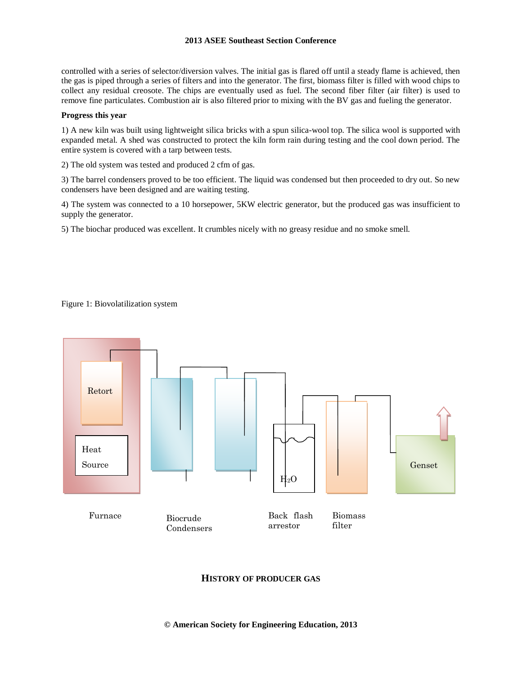controlled with a series of selector/diversion valves. The initial gas is flared off until a steady flame is achieved, then the gas is piped through a series of filters and into the generator. The first, biomass filter is filled with wood chips to collect any residual creosote. The chips are eventually used as fuel. The second fiber filter (air filter) is used to remove fine particulates. Combustion air is also filtered prior to mixing with the BV gas and fueling the generator.

## **Progress this year**

1) A new kiln was built using lightweight silica bricks with a spun silica-wool top. The silica wool is supported with expanded metal. A shed was constructed to protect the kiln form rain during testing and the cool down period. The entire system is covered with a tarp between tests.

2) The old system was tested and produced 2 cfm of gas.

3) The barrel condensers proved to be too efficient. The liquid was condensed but then proceeded to dry out. So new condensers have been designed and are waiting testing.

4) The system was connected to a 10 horsepower, 5KW electric generator, but the produced gas was insufficient to supply the generator.

5) The biochar produced was excellent. It crumbles nicely with no greasy residue and no smoke smell.

# Figure 1: Biovolatilization system



# **HISTORY OF PRODUCER GAS**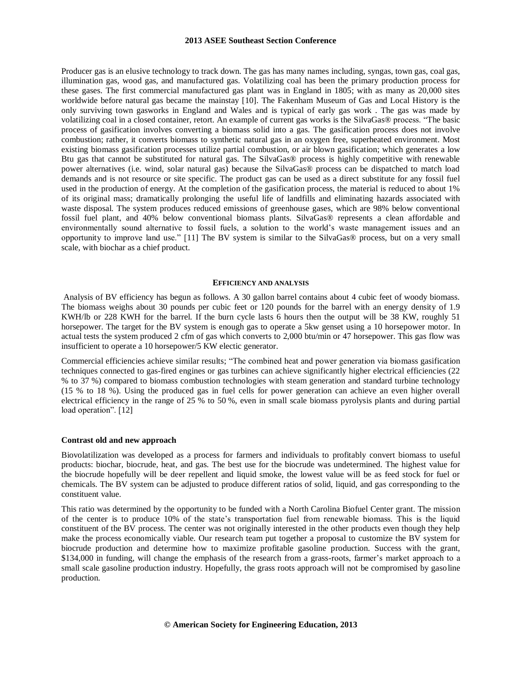Producer gas is an elusive technology to track down. The gas has many names including, syngas, town gas, coal gas, illumination gas, wood gas, and manufactured gas. Volatilizing coal has been the primary production process for these gases. The first commercial manufactured gas plant was in England in 1805; with as many as 20,000 sites worldwide before natural gas became the mainstay [10]. The Fakenham Museum of Gas and Local History is the only surviving town gasworks in England and Wales and is typical of early gas work . The gas was made by volatilizing coal in a closed container, retort. An example of current gas works is the SilvaGas® process. "The basic process of gasification involves converting a biomass solid into a gas. The gasification process does not involve combustion; rather, it converts biomass to synthetic natural gas in an oxygen free, superheated environment. Most existing biomass gasification processes utilize partial combustion, or air blown gasification; which generates a low Btu gas that cannot be substituted for natural gas. The SilvaGas® process is highly competitive with renewable power alternatives (i.e. wind, solar natural gas) because the SilvaGas® process can be dispatched to match load demands and is not resource or site specific. The product gas can be used as a direct substitute for any fossil fuel used in the production of energy. At the completion of the gasification process, the material is reduced to about 1% of its original mass; dramatically prolonging the useful life of landfills and eliminating hazards associated with waste disposal. The system produces reduced emissions of greenhouse gases, which are 98% below conventional fossil fuel plant, and 40% below conventional biomass plants. SilvaGas® represents a clean affordable and environmentally sound alternative to fossil fuels, a solution to the world's waste management issues and an opportunity to improve land use." [11] The BV system is similar to the SilvaGas® process, but on a very small scale, with biochar as a chief product.

# **EFFICIENCY AND ANALYSIS**

Analysis of BV efficiency has begun as follows. A 30 gallon barrel contains about 4 cubic feet of woody biomass. The biomass weighs about 30 pounds per cubic feet or 120 pounds for the barrel with an energy density of 1.9 KWH/lb or 228 KWH for the barrel. If the burn cycle lasts 6 hours then the output will be 38 KW, roughly 51 horsepower. The target for the BV system is enough gas to operate a 5kw genset using a 10 horsepower motor. In actual tests the system produced 2 cfm of gas which converts to 2,000 btu/min or 47 horsepower. This gas flow was insufficient to operate a 10 horsepower/5 KW electic generator.

Commercial efficiencies achieve similar results; "The combined heat and power generation via biomass gasification techniques connected to gas-fired engines or gas turbines can achieve significantly higher electrical efficiencies (22 % to 37 %) compared to biomass combustion technologies with steam generation and standard turbine technology (15 % to 18 %). Using the produced gas in fuel cells for power generation can achieve an even higher overall electrical efficiency in the range of 25 % to 50 %, even in small scale biomass pyrolysis plants and during partial load operation". [12]

## **Contrast old and new approach**

Biovolatilization was developed as a process for farmers and individuals to profitably convert biomass to useful products: biochar, biocrude, heat, and gas. The best use for the biocrude was undetermined. The highest value for the biocrude hopefully will be deer repellent and liquid smoke, the lowest value will be as feed stock for fuel or chemicals. The BV system can be adjusted to produce different ratios of solid, liquid, and gas corresponding to the constituent value.

This ratio was determined by the opportunity to be funded with a North Carolina Biofuel Center grant. The mission of the center is to produce 10% of the state's transportation fuel from renewable biomass. This is the liquid constituent of the BV process. The center was not originally interested in the other products even though they help make the process economically viable. Our research team put together a proposal to customize the BV system for biocrude production and determine how to maximize profitable gasoline production. Success with the grant, \$134,000 in funding, will change the emphasis of the research from a grass-roots, farmer's market approach to a small scale gasoline production industry. Hopefully, the grass roots approach will not be compromised by gasoline production.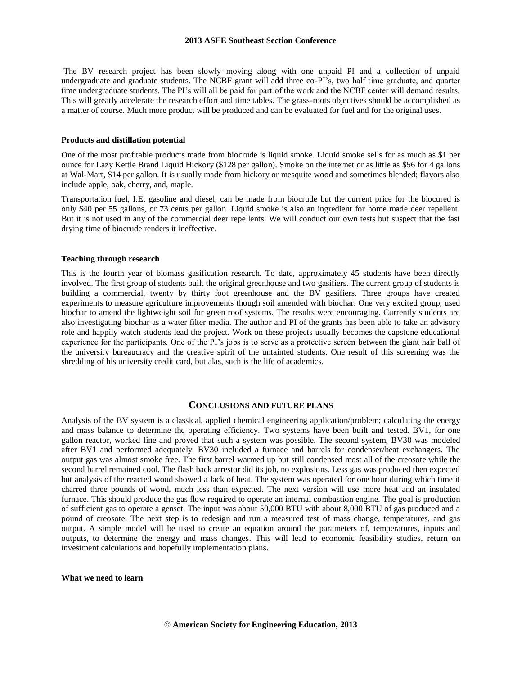The BV research project has been slowly moving along with one unpaid PI and a collection of unpaid undergraduate and graduate students. The NCBF grant will add three co-PI's, two half time graduate, and quarter time undergraduate students. The PI's will all be paid for part of the work and the NCBF center will demand results. This will greatly accelerate the research effort and time tables. The grass-roots objectives should be accomplished as a matter of course. Much more product will be produced and can be evaluated for fuel and for the original uses.

# **Products and distillation potential**

One of the most profitable products made from biocrude is liquid smoke. Liquid smoke sells for as much as \$1 per ounce for Lazy Kettle Brand Liquid Hickory (\$128 per gallon). Smoke on the internet or as little as \$56 for 4 gallons at Wal-Mart, \$14 per gallon. It is usually made from hickory or mesquite wood and sometimes blended; flavors also include apple, oak, cherry, and, maple.

Transportation fuel, I.E. gasoline and diesel, can be made from biocrude but the current price for the biocured is only \$40 per 55 gallons, or 73 cents per gallon. Liquid smoke is also an ingredient for home made deer repellent. But it is not used in any of the commercial deer repellents. We will conduct our own tests but suspect that the fast drying time of biocrude renders it ineffective.

## **Teaching through research**

This is the fourth year of biomass gasification research. To date, approximately 45 students have been directly involved. The first group of students built the original greenhouse and two gasifiers. The current group of students is building a commercial, twenty by thirty foot greenhouse and the BV gasifiers. Three groups have created experiments to measure agriculture improvements though soil amended with biochar. One very excited group, used biochar to amend the lightweight soil for green roof systems. The results were encouraging. Currently students are also investigating biochar as a water filter media. The author and PI of the grants has been able to take an advisory role and happily watch students lead the project. Work on these projects usually becomes the capstone educational experience for the participants. One of the PI's jobs is to serve as a protective screen between the giant hair ball of the university bureaucracy and the creative spirit of the untainted students. One result of this screening was the shredding of his university credit card, but alas, such is the life of academics.

# **CONCLUSIONS AND FUTURE PLANS**

Analysis of the BV system is a classical, applied chemical engineering application/problem; calculating the energy and mass balance to determine the operating efficiency. Two systems have been built and tested. BV1, for one gallon reactor, worked fine and proved that such a system was possible. The second system, BV30 was modeled after BV1 and performed adequately. BV30 included a furnace and barrels for condenser/heat exchangers. The output gas was almost smoke free. The first barrel warmed up but still condensed most all of the creosote while the second barrel remained cool. The flash back arrestor did its job, no explosions. Less gas was produced then expected but analysis of the reacted wood showed a lack of heat. The system was operated for one hour during which time it charred three pounds of wood, much less than expected. The next version will use more heat and an insulated furnace. This should produce the gas flow required to operate an internal combustion engine. The goal is production of sufficient gas to operate a genset. The input was about 50,000 BTU with about 8,000 BTU of gas produced and a pound of creosote. The next step is to redesign and run a measured test of mass change, temperatures, and gas output. A simple model will be used to create an equation around the parameters of, temperatures, inputs and outputs, to determine the energy and mass changes. This will lead to economic feasibility studies, return on investment calculations and hopefully implementation plans.

**What we need to learn**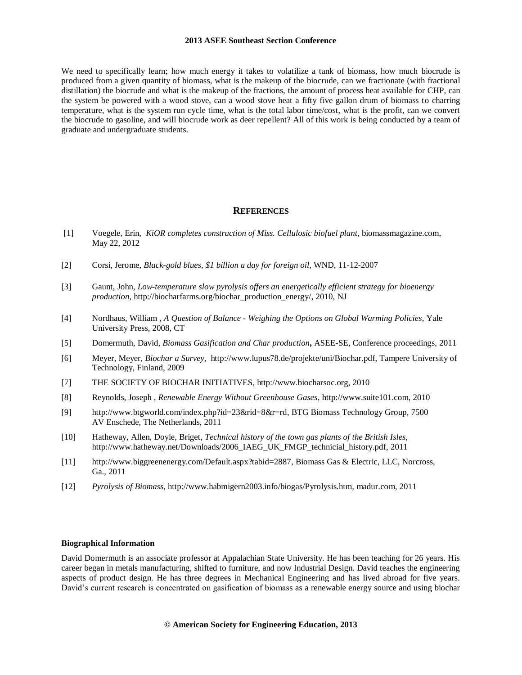We need to specifically learn; how much energy it takes to volatilize a tank of biomass, how much biocrude is produced from a given quantity of biomass, what is the makeup of the biocrude, can we fractionate (with fractional distillation) the biocrude and what is the makeup of the fractions, the amount of process heat available for CHP, can the system be powered with a wood stove, can a wood stove heat a fifty five gallon drum of biomass to charring temperature, what is the system run cycle time, what is the total labor time/cost, what is the profit, can we convert the biocrude to gasoline, and will biocrude work as deer repellent? All of this work is being conducted by a team of graduate and undergraduate students.

# **REFERENCES**

- [1] Voegele, Erin, *KiOR completes construction of Miss. Cellulosic biofuel plant*[, biomassmagazine.com,](http://biomassmagazine.com/articles/6801/kior-seeks-1-billion-loan-guarantee-from-doe/?ref=brm)  May 22, 2012
- [2] Corsi, Jerome, *Black-gold blues, \$1 billion a day for foreign oil,* WND, 11-12-2007
- [3] Gaunt, John, *Low-temperature slow pyrolysis offers an energetically efficient strategy for bioenergy production*, [http://biocharfarms.org/biochar\\_production\\_energy/,](http://biocharfarms.org/biochar_production_energy/) 2010, NJ
- [4] Nordhaus, [William ,](http://en.wikipedia.org/wiki/William_Nordhaus) *A Question of Balance - Weighing the Options on Global Warming Policies*, Yale University Press, 2008, CT
- [5] Domermuth, David, *Biomass Gasification and Char production***,** ASEE-SE, Conference proceedings, 2011
- [6] Meyer, Meyer, *Biochar a Survey*, [http://www.lupus78.de/projekte/uni/Biochar.pdf,](http://www.lupus78.de/projekte/uni/Biochar.pdf) Tampere University of Technology, Finland, 2009
- [7] [THE SOCIETY OF BIOCHAR INITIATIVES,](http://www.biocharsoc.org/) http://www.biocharsoc.org, 2010
- [8] Reynolds, [Joseph](http://www.suite101.com/profile.cfm/josephreynolds) , *Renewable Energy Without Greenhouse Gases*[, http://www.suite101.com,](http://www.suite101.com/) 2010
- [9] [http://www.btgworld.com/index.php?id=23&rid=8&r=rd,](http://www.btgworld.com/index.php?id=23&rid=8&r=rd) BTG Biomass Technology Group, 7500 AV Enschede, The Netherlands, 2011
- [10] Hatheway, Allen, Doyle, Briget, *Technical history of the town gas plants of the British Isles*, [http://www.hatheway.net/Downloads/2006\\_IAEG\\_UK\\_FMGP\\_technicial\\_history.pdf,](http://www.hatheway.net/Downloads/2006_IAEG_UK_FMGP_technicial_history.pdf) 2011
- [11] [http://www.biggreenenergy.com/Default.aspx?tabid=2887,](http://www.biggreenenergy.com/Default.aspx?tabid=2887) Biomass Gas & Electric, LLC, Norcross, Ga., 2011
- [12] *Pyrolysis of Biomass*, [http://www.habmigern2003.info/biogas/Pyrolysis.htm,](http://www.habmigern2003.info/biogas/Pyrolysis.htm) madur.com, 2011

# **Biographical Information**

David Domermuth is an associate professor at Appalachian State University. He has been teaching for 26 years. His career began in metals manufacturing, shifted to furniture, and now Industrial Design. David teaches the engineering aspects of product design. He has three degrees in Mechanical Engineering and has lived abroad for five years. David's current research is concentrated on gasification of biomass as a renewable energy source and using biochar